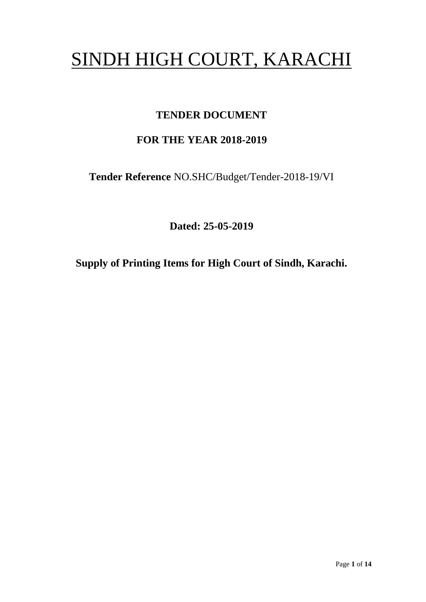# SINDH HIGH COURT, KARACHI

## **TENDER DOCUMENT**

## **FOR THE YEAR 2018-2019**

**Tender Reference** NO.SHC/Budget/Tender-2018-19/VI

**Dated: 25-05-2019**

**Supply of Printing Items for High Court of Sindh, Karachi.**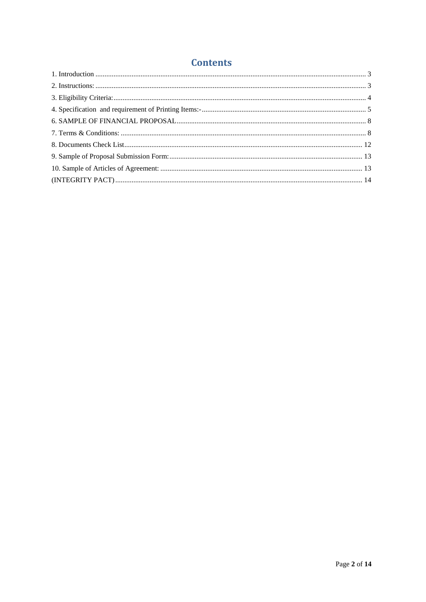### **Contents**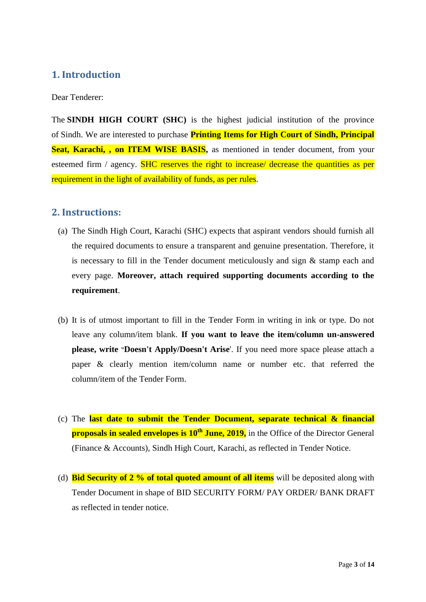#### <span id="page-2-0"></span>**1. Introduction**

Dear Tenderer:

The **SINDH HIGH COURT (SHC)** is the highest judicial institution of the province of [Sindh.](https://en.wikipedia.org/wiki/Sindh) We are interested to purchase **Printing Items for High Court of Sindh, Principal Seat, Karachi, , on ITEM WISE BASIS,** as mentioned in tender document, from your esteemed firm / agency. SHC reserves the right to increase/ decrease the quantities as per requirement in the light of availability of funds, as per rules.

#### <span id="page-2-1"></span>**2. Instructions:**

- (a) The Sindh High Court, Karachi (SHC) expects that aspirant vendors should furnish all the required documents to ensure a transparent and genuine presentation. Therefore, it is necessary to fill in the Tender document meticulously and sign & stamp each and every page. **Moreover, attach required supporting documents according to the requirement**.
- (b) It is of utmost important to fill in the Tender Form in writing in ink or type. Do not leave any column/item blank. **If you want to leave the item/column un-answered please, write "Doesn't Apply/Doesn't Arise**'. If you need more space please attach a paper & clearly mention item/column name or number etc. that referred the column/item of the Tender Form.
- (c) The **last date to submit the Tender Document, separate technical & financial proposals in sealed envelopes is 10<sup>th</sup> June, 2019,** in the Office of the Director General (Finance & Accounts), Sindh High Court, Karachi, as reflected in Tender Notice.
- (d) **Bid Security of 2 % of total quoted amount of all items** will be deposited along with Tender Document in shape of BID SECURITY FORM/ PAY ORDER/ BANK DRAFT as reflected in tender notice.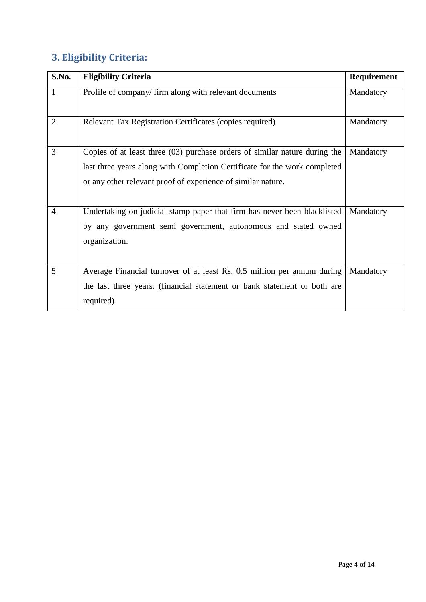# <span id="page-3-0"></span>**3. Eligibility Criteria:**

| S.No.          | <b>Eligibility Criteria</b>                                                                                                                                                                                               | Requirement |
|----------------|---------------------------------------------------------------------------------------------------------------------------------------------------------------------------------------------------------------------------|-------------|
| $\mathbf{1}$   | Profile of company/firm along with relevant documents                                                                                                                                                                     | Mandatory   |
| $\overline{2}$ | Relevant Tax Registration Certificates (copies required)                                                                                                                                                                  | Mandatory   |
| 3              | Copies of at least three $(03)$ purchase orders of similar nature during the<br>last three years along with Completion Certificate for the work completed<br>or any other relevant proof of experience of similar nature. | Mandatory   |
| $\overline{4}$ | Undertaking on judicial stamp paper that firm has never been blacklisted<br>by any government semi government, autonomous and stated owned<br>organization.                                                               | Mandatory   |
| 5              | Average Financial turnover of at least Rs. 0.5 million per annum during<br>the last three years. (financial statement or bank statement or both are<br>required)                                                          | Mandatory   |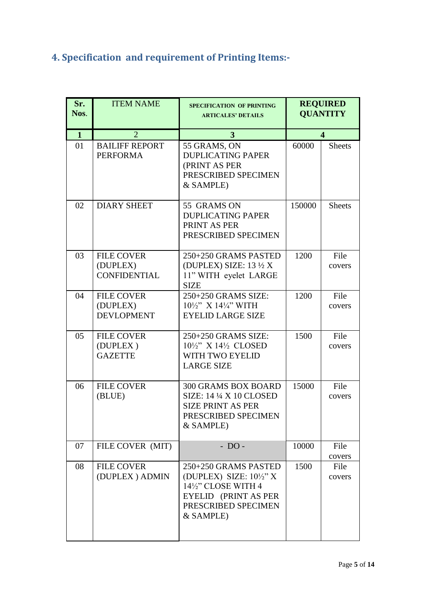# <span id="page-4-0"></span>**4. Specification and requirement of Printing Items:-**

| Sr.<br>Nos.  | <b>ITEM NAME</b>                                     | <b>SPECIFICATION OF PRINTING</b><br><b>ARTICALES' DETAILS</b>                                                                               |        | <b>REQUIRED</b><br><b>QUANTITY</b> |
|--------------|------------------------------------------------------|---------------------------------------------------------------------------------------------------------------------------------------------|--------|------------------------------------|
| $\mathbf{1}$ | $\overline{2}$                                       | 3                                                                                                                                           |        | $\overline{\mathbf{4}}$            |
| 01           | <b>BAILIFF REPORT</b><br><b>PERFORMA</b>             | 55 GRAMS, ON<br><b>DUPLICATING PAPER</b><br>(PRINT AS PER<br>PRESCRIBED SPECIMEN<br>& SAMPLE)                                               | 60000  | <b>Sheets</b>                      |
| 02           | <b>DIARY SHEET</b>                                   | 55 GRAMS ON<br><b>DUPLICATING PAPER</b><br>PRINT AS PER<br>PRESCRIBED SPECIMEN                                                              | 150000 | <b>Sheets</b>                      |
| 03           | <b>FILE COVER</b><br>(DUPLEX)<br><b>CONFIDENTIAL</b> | 250+250 GRAMS PASTED<br>(DUPLEX) SIZE: $13\frac{1}{2}X$<br>11" WITH eyelet LARGE<br><b>SIZE</b>                                             | 1200   | File<br>covers                     |
| 04           | <b>FILE COVER</b><br>(DUPLEX)<br><b>DEVLOPMENT</b>   | 250+250 GRAMS SIZE:<br>$10\frac{1}{2}$ " X $14\frac{1}{4}$ " WITH<br><b>EYELID LARGE SIZE</b>                                               | 1200   | File<br>covers                     |
| 05           | <b>FILE COVER</b><br>(DUPLEX)<br><b>GAZETTE</b>      | 250+250 GRAMS SIZE:<br>$10\frac{1}{2}$ X $14\frac{1}{2}$ CLOSED<br>WITH TWO EYELID<br><b>LARGE SIZE</b>                                     | 1500   | File<br>covers                     |
| 06           | <b>FILE COVER</b><br>(BLUE)                          | <b>300 GRAMS BOX BOARD</b><br><b>SIZE: 14 ¼ X 10 CLOSED</b><br><b>SIZE PRINT AS PER</b><br>PRESCRIBED SPECIMEN<br>& SAMPLE)                 | 15000  | File<br>covers                     |
| 07           | FILE COVER (MIT)                                     | $- DO -$                                                                                                                                    | 10000  | File<br>covers                     |
| 08           | <b>FILE COVER</b><br>(DUPLEX) ADMIN                  | 250+250 GRAMS PASTED<br>(DUPLEX) SIZE: $10\frac{1}{2}$ " X<br>14½" CLOSE WITH 4<br>EYELID (PRINT AS PER<br>PRESCRIBED SPECIMEN<br>& SAMPLE) | 1500   | File<br>covers                     |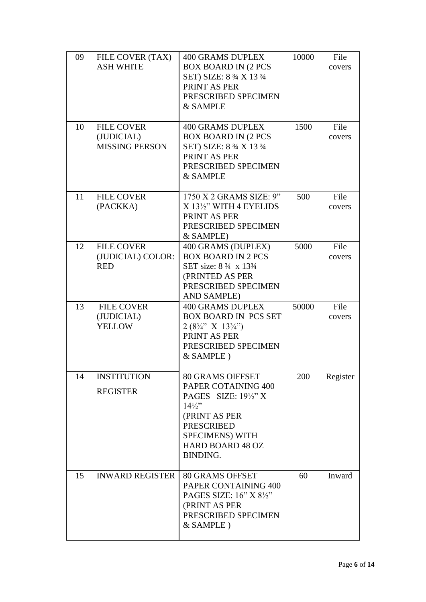| 09<br>10 | FILE COVER (TAX)<br><b>ASH WHITE</b><br><b>FILE COVER</b> | <b>400 GRAMS DUPLEX</b><br><b>BOX BOARD IN (2 PCS</b><br>SET) SIZE: 8 3/4 X 13 3/4<br>PRINT AS PER<br>PRESCRIBED SPECIMEN<br>& SAMPLE<br><b>400 GRAMS DUPLEX</b>                                            | 10000<br>1500 | File<br>covers<br>File |
|----------|-----------------------------------------------------------|-------------------------------------------------------------------------------------------------------------------------------------------------------------------------------------------------------------|---------------|------------------------|
|          | (JUDICIAL)<br><b>MISSING PERSON</b>                       | <b>BOX BOARD IN (2 PCS</b><br>SET) SIZE: 8 3/4 X 13 3/4<br>PRINT AS PER<br>PRESCRIBED SPECIMEN<br>& SAMPLE                                                                                                  |               | covers                 |
| 11       | <b>FILE COVER</b><br>(PACKKA)                             | 1750 X 2 GRAMS SIZE: 9"<br>X 131/2" WITH 4 EYELIDS<br>PRINT AS PER<br>PRESCRIBED SPECIMEN<br>& SAMPLE)                                                                                                      | 500           | File<br>covers         |
| 12       | <b>FILE COVER</b><br>(JUDICIAL) COLOR:<br><b>RED</b>      | 400 GRAMS (DUPLEX)<br><b>BOX BOARD IN 2 PCS</b><br>SET size: 8 3/4 x 133/4<br>(PRINTED AS PER<br>PRESCRIBED SPECIMEN<br>AND SAMPLE)                                                                         | 5000          | File<br>covers         |
| 13       | <b>FILE COVER</b><br>(JUDICIAL)<br><b>YELLOW</b>          | <b>400 GRAMS DUPLEX</b><br><b>BOX BOARD IN PCS SET</b><br>$2(8\frac{3}{4}$ " X $13\frac{3}{4}$ ")<br>PRINT AS PER<br>PRESCRIBED SPECIMEN<br>& SAMPLE)                                                       | 50000         | File<br>covers         |
| 14       | <b>INSTITUTION</b><br><b>REGISTER</b>                     | <b>80 GRAMS OIFFSET</b><br>PAPER COTAINING 400<br>PAGES SIZE: $19\frac{1}{2}$ " X<br>$14\frac{1}{2}$<br>(PRINT AS PER<br><b>PRESCRIBED</b><br><b>SPECIMENS) WITH</b><br><b>HARD BOARD 48 OZ</b><br>BINDING. | 200           | Register               |
| 15       | <b>INWARD REGISTER</b>                                    | <b>80 GRAMS OFFSET</b><br>PAPER CONTAINING 400<br>PAGES SIZE: 16" X 81/2"<br>(PRINT AS PER<br>PRESCRIBED SPECIMEN<br>& SAMPLE)                                                                              | 60            | Inward                 |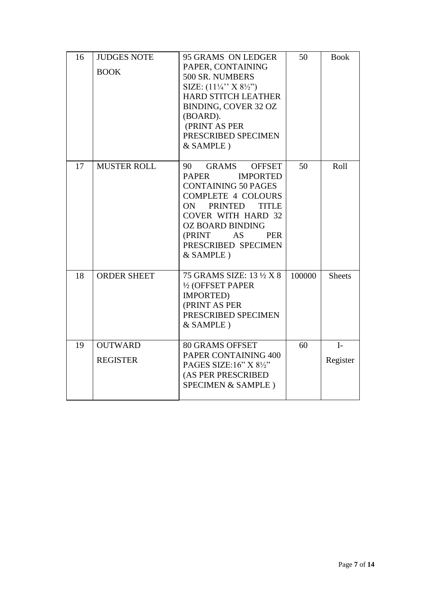| 16 | <b>JUDGES NOTE</b><br><b>BOOK</b> | 95 GRAMS ON LEDGER<br>PAPER, CONTAINING<br>500 SR. NUMBERS<br>SIZE: $(11\frac{1}{4}$ " X $8\frac{1}{2}$ ")<br><b>HARD STITCH LEATHER</b><br>BINDING, COVER 32 OZ<br>(BOARD).<br>(PRINT AS PER<br>PRESCRIBED SPECIMEN<br>& SAMPLE)                                                                    | 50     | <b>Book</b>      |
|----|-----------------------------------|------------------------------------------------------------------------------------------------------------------------------------------------------------------------------------------------------------------------------------------------------------------------------------------------------|--------|------------------|
| 17 | <b>MUSTER ROLL</b>                | <b>GRAMS</b><br>90<br><b>OFFSET</b><br><b>PAPER</b><br><b>IMPORTED</b><br><b>CONTAINING 50 PAGES</b><br><b>COMPLETE 4 COLOURS</b><br><b>PRINTED</b><br><b>TITLE</b><br>ON.<br><b>COVER WITH HARD 32</b><br><b>OZ BOARD BINDING</b><br>(PRINT<br>AS<br><b>PER</b><br>PRESCRIBED SPECIMEN<br>& SAMPLE) | 50     | Roll             |
| 18 | <b>ORDER SHEET</b>                | 75 GRAMS SIZE: 13 1/2 X 8<br>1/2 (OFFSET PAPER<br>IMPORTED)<br>(PRINT AS PER<br>PRESCRIBED SPECIMEN<br>& SAMPLE)                                                                                                                                                                                     | 100000 | <b>Sheets</b>    |
| 19 | <b>OUTWARD</b><br><b>REGISTER</b> | <b>80 GRAMS OFFSET</b><br>PAPER CONTAINING 400<br>PAGES SIZE:16" X 81/2"<br>(AS PER PRESCRIBED<br>SPECIMEN & SAMPLE)                                                                                                                                                                                 | 60     | $I-$<br>Register |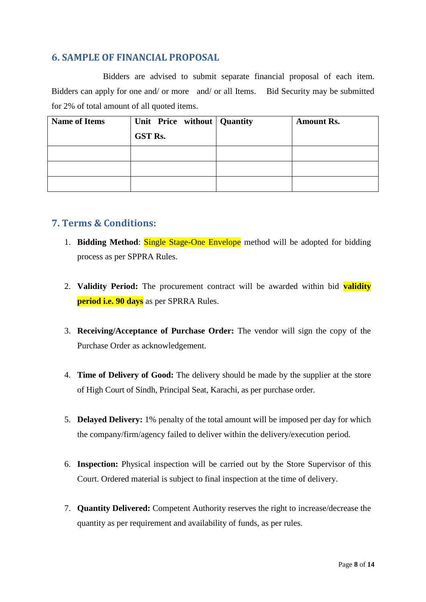#### <span id="page-7-0"></span>**6. SAMPLE OF FINANCIAL PROPOSAL**

Bidders are advised to submit separate financial proposal of each item. Bidders can apply for one and/ or more and/ or all Items. Bid Security may be submitted for 2% of total amount of all quoted items.

| <b>Name of Items</b> | Unit Price without Quantity | <b>Amount Rs.</b> |
|----------------------|-----------------------------|-------------------|
|                      | <b>GST Rs.</b>              |                   |
|                      |                             |                   |
|                      |                             |                   |
|                      |                             |                   |

#### <span id="page-7-1"></span>**7. Terms & Conditions:**

- 1. **Bidding Method**: Single Stage-One Envelope method will be adopted for bidding process as per SPPRA Rules.
- 2. **Validity Period:** The procurement contract will be awarded within bid **validity period i.e. 90 days** as per SPRRA Rules.
- 3. **Receiving/Acceptance of Purchase Order:** The vendor will sign the copy of the Purchase Order as acknowledgement.
- 4. **Time of Delivery of Good:** The delivery should be made by the supplier at the store of High Court of Sindh, Principal Seat, Karachi, as per purchase order.
- 5. **Delayed Delivery:** 1% penalty of the total amount will be imposed per day for which the company/firm/agency failed to deliver within the delivery/execution period.
- 6. **Inspection:** Physical inspection will be carried out by the Store Supervisor of this Court. Ordered material is subject to final inspection at the time of delivery.
- 7. **Quantity Delivered:** Competent Authority reserves the right to increase/decrease the quantity as per requirement and availability of funds, as per rules.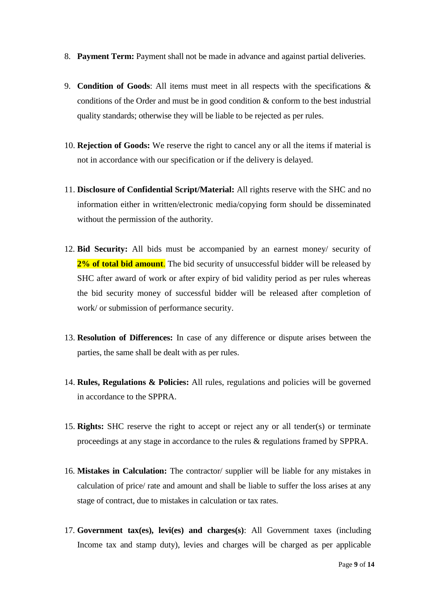- 8. **Payment Term:** Payment shall not be made in advance and against partial deliveries.
- 9. **Condition of Goods**: All items must meet in all respects with the specifications & conditions of the Order and must be in good condition & conform to the best industrial quality standards; otherwise they will be liable to be rejected as per rules.
- 10. **Rejection of Goods:** We reserve the right to cancel any or all the items if material is not in accordance with our specification or if the delivery is delayed.
- 11. **Disclosure of Confidential Script/Material:** All rights reserve with the SHC and no information either in written/electronic media/copying form should be disseminated without the permission of the authority.
- 12. **Bid Security:** All bids must be accompanied by an earnest money/ security of **2% of total bid amount**. The bid security of unsuccessful bidder will be released by SHC after award of work or after expiry of bid validity period as per rules whereas the bid security money of successful bidder will be released after completion of work/ or submission of performance security.
- 13. **Resolution of Differences:** In case of any difference or dispute arises between the parties, the same shall be dealt with as per rules.
- 14. **Rules, Regulations & Policies:** All rules, regulations and policies will be governed in accordance to the SPPRA.
- 15. **Rights:** SHC reserve the right to accept or reject any or all tender(s) or terminate proceedings at any stage in accordance to the rules & regulations framed by SPPRA.
- 16. **Mistakes in Calculation:** The contractor/ supplier will be liable for any mistakes in calculation of price/ rate and amount and shall be liable to suffer the loss arises at any stage of contract, due to mistakes in calculation or tax rates.
- 17. **Government tax(es), levi(es) and charges(s)**: All Government taxes (including Income tax and stamp duty), levies and charges will be charged as per applicable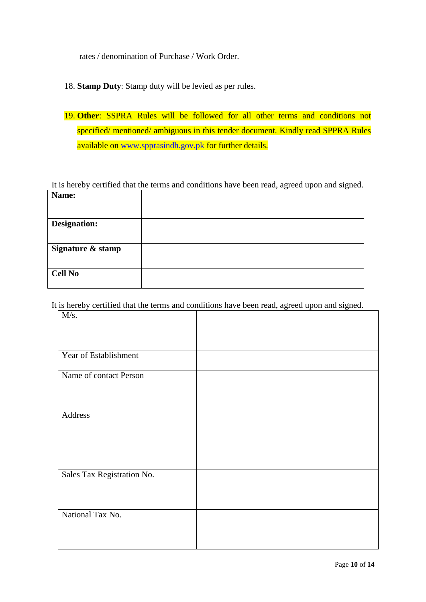rates / denomination of Purchase / Work Order.

- 18. **Stamp Duty**: Stamp duty will be levied as per rules.
- 19. **Other**: SSPRA Rules will be followed for all other terms and conditions not specified/ mentioned/ ambiguous in this tender document. Kindly read SPPRA Rules available on [www.spprasindh.gov.pk](http://www.spprasindh.gov.pk/) for further details.

It is hereby certified that the terms and conditions have been read, agreed upon and signed.

| Name:               |  |
|---------------------|--|
|                     |  |
| <b>Designation:</b> |  |
|                     |  |
| Signature & stamp   |  |
|                     |  |
| <b>Cell No</b>      |  |
|                     |  |

It is hereby certified that the terms and conditions have been read, agreed upon and signed.

| M/s.                       |  |
|----------------------------|--|
|                            |  |
| Year of Establishment      |  |
| Name of contact Person     |  |
|                            |  |
| Address                    |  |
|                            |  |
|                            |  |
| Sales Tax Registration No. |  |
|                            |  |
| National Tax No.           |  |
|                            |  |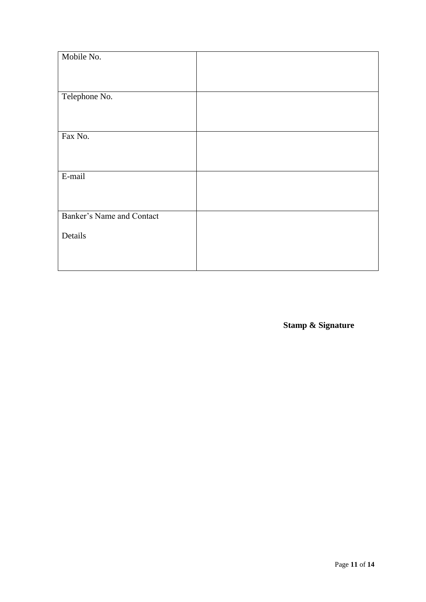| Mobile No.                |  |
|---------------------------|--|
|                           |  |
|                           |  |
| Telephone No.             |  |
|                           |  |
|                           |  |
| Fax No.                   |  |
|                           |  |
|                           |  |
| E-mail                    |  |
|                           |  |
|                           |  |
| Banker's Name and Contact |  |
| Details                   |  |
|                           |  |
|                           |  |
|                           |  |

**Stamp & Signature**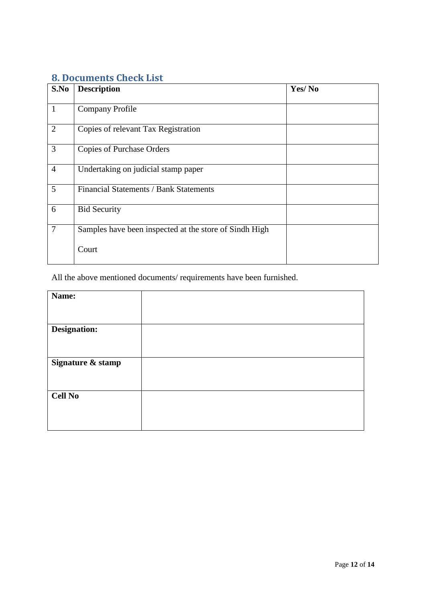### <span id="page-11-0"></span>**8. Documents Check List**

| S.No           | <b>Description</b>                                     | Yes/No |
|----------------|--------------------------------------------------------|--------|
| $\mathbf{1}$   | <b>Company Profile</b>                                 |        |
| $\overline{2}$ | Copies of relevant Tax Registration                    |        |
| $\overline{3}$ | <b>Copies of Purchase Orders</b>                       |        |
| $\overline{4}$ | Undertaking on judicial stamp paper                    |        |
| 5              | Financial Statements / Bank Statements                 |        |
| 6              | <b>Bid Security</b>                                    |        |
| $\overline{7}$ | Samples have been inspected at the store of Sindh High |        |
|                | Court                                                  |        |

All the above mentioned documents/ requirements have been furnished.

| Name:             |  |
|-------------------|--|
|                   |  |
|                   |  |
| Designation:      |  |
|                   |  |
|                   |  |
| Signature & stamp |  |
|                   |  |
|                   |  |
|                   |  |
| <b>Cell No</b>    |  |
|                   |  |
|                   |  |
|                   |  |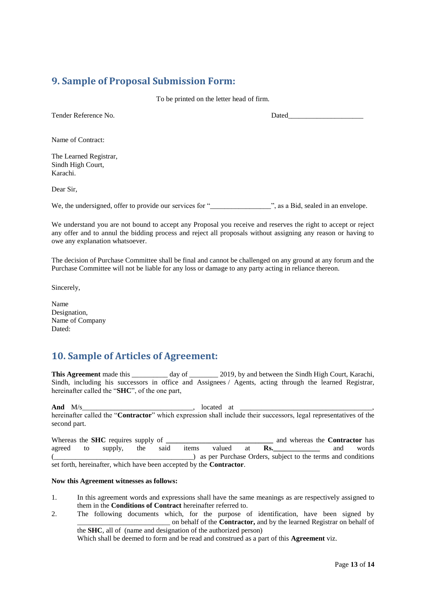#### <span id="page-12-0"></span>**9. Sample of Proposal Submission Form:**

To be printed on the letter head of firm.

Tender Reference No. 2008 and the Dated

Name of Contract:

The Learned Registrar, Sindh High Court, Karachi.

Dear Sir,

We, the undersigned, offer to provide our services for "\_\_\_\_\_\_\_\_\_\_\_\_\_\_\_\_\_", as a Bid, sealed in an envelope.

We understand you are not bound to accept any Proposal you receive and reserves the right to accept or reject any offer and to annul the bidding process and reject all proposals without assigning any reason or having to owe any explanation whatsoever.

The decision of Purchase Committee shall be final and cannot be challenged on any ground at any forum and the Purchase Committee will not be liable for any loss or damage to any party acting in reliance thereon.

Sincerely,

Name Designation, Name of Company Dated:

#### <span id="page-12-1"></span>**10. Sample of Articles of Agreement:**

**This Agreement** made this day of 2019, by and between the Sindh High Court, Karachi, Sindh, including his successors in office and Assignees / Agents, acting through the learned Registrar, hereinafter called the "**SHC**", of the one part,

**And** M/s 100 and M/s 200 and M/s 200 and  $\frac{M}{s}$  at  $\frac{M}{s}$ hereinafter called the "**Contractor**" which expression shall include their successors, legal representatives of the second part.

Whereas the **SHC** requires supply of **\_\_\_\_\_\_\_\_\_\_\_\_\_\_\_\_\_\_\_\_\_\_\_\_\_\_\_\_\_\_\_\_** and whereas the **Contractor** has agreed to supply, the said items valued at **Rs.\_\_\_\_\_\_\_\_\_\_\_\_\_** and words (\_\_\_\_\_\_\_\_\_\_\_\_\_\_\_\_\_\_\_\_\_\_\_\_\_\_\_\_\_\_\_\_\_\_\_\_\_\_\_) as per Purchase Orders, subject to the terms and conditions set forth, hereinafter, which have been accepted by the **Contractor**.

#### **Now this Agreement witnesses as follows:**

- 1. In this agreement words and expressions shall have the same meanings as are respectively assigned to them in the **Conditions of Contract** hereinafter referred to.
- 2. The following documents which, for the purpose of identification, have been signed by \_\_\_\_\_\_\_\_\_\_\_\_\_\_\_\_\_\_\_\_\_\_\_\_\_\_ on behalf of the **Contractor,** and by the learned Registrar on behalf of the **SHC**, all of (name and designation of the authorized person)

Which shall be deemed to form and be read and construed as a part of this **Agreement** viz.